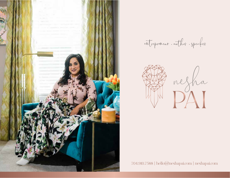

entrepreneur. author. speaker

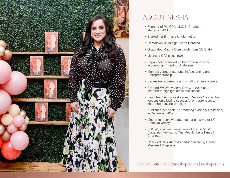

# ABOUT NESHA

- Founder of Pai CPA, LLC, in Charlotte, started in 2011
- Started her firm as a single mother
- Hometown is Raleigh, North Carolina
- Graduated Magna Cum Laude from NC State
- Licensed CPA since 1996
- Began her career within the world-renowned accounting firm Arthur Andersen
- Mentors younger students in Accounting and **Entrepreneurship**
- Serves entrepreneurs and small business owners
- Created *Pai Networking Group* in 2017 as a platform to highlight small businesses
- Launched her podcast series, *Piece of the Pai*, that focuses on allowing successful entrepreneurs to share their business insight
- Published her book, *Overcoming Ordinary Obstacles*, in December 2019
- Mother to a son who attends her alma mater NC State University
- In 2020, she was named one of the *50 Most Influential Women* by The Mecklenburg Times in **Charlotte**
- Received the *Emerging Leader* award by Career Mastered Magazine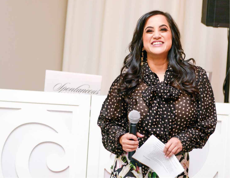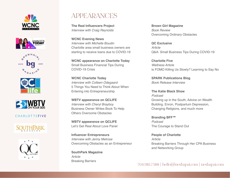









#### **CHARLOTTEFIVE**





## APPEARANCES

**The Real Influencers Project**  *Interview with Craig Reynolds*

**WCNC Evening News**  *Interview with Michelle Boudin* Charlotte area small business owners are starting to receive loans due to COVID-19

**WCNC appearance on Charlotte Today** Small Business Financial Tips During COVID-19 Crisis

**WCNC Charlotte Today** *Interview with Colleen Odegaard* 5 Things You Need to Think About When Entering into Entrepreneurship

**WBTV appearance on QCLIFE**  Interview with Cheryl Brayboy Business Owner Writes Book To Help Others Overcome Obstacles

**WBTV appearance on QCLIFE** Let's Get Real About Love Panel

**Influencer Entrepreneurs**  *Interview with Jenny Melrose* Overcoming Obstacles as an Entrepreneur

**SouthPark Magazine** *Article* Breaking Barriers

**Brown Girl Magazine** *Book Review* Overcoming Ordinary Obstacles

**QC Exclusive** *Article* Q&A: Small Business Tips During COVID-19

**Charlotte Five** *Wellness Article* Is FOMO Killing Us Slowly? Learning to Say No

**SPARK Publications Blog** *Book Release Interview*

**The Katie Black Show** *Podcast* Growing up in the South, Advice on Wealth Building, Enron, Postpartum Depression, Changing Religions, and much more

**Branding BFF™** *Podcast* The Courage to Stand Out

**People of Charlotte** *Article* Breaking Barriers Through Her CPA Business and Networking Group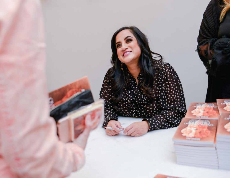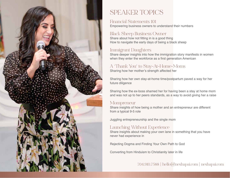

# SPEAKER TOPICS

#### Financial Statements 101 Empowering business owners to understand their numbers

#### Black Sheep Business Owner

Share about how not fitting in is a good thing How to navigate the early days of being a black sheep

### Immigrant Daughters

Share deeper insights into how the immigration story manifests in women when they enter the workforce as a first generation American

### A 'Thank You' to Stay-At-Home-Moms

Sharing how her mother's strength affected her

Sharing how her own stay-at-home time/postpartum paved a way for her future diligence

Sharing how the ex-boss shamed her for having been a stay at home mom and was not up to her peers standards, as a way to avoid giving her a raise

#### **Mompreneur**

Share insights of how being a mother and an entrepreneur are different from a typical 9-5 role

Juggling entrepreneurship and the single mom

### Launching Without Experience

Share insights about making your own lane in something that you have never had experience in

Rejecting Dogma and Finding Your Own Path to God

Converting from Hinduism to Christianity later in life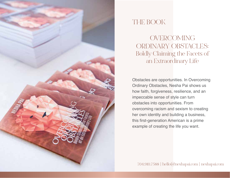

### THE BOOK

**OVERCOMING** ORDINARY OBSTACLES: Boldly Claiming the Facets of an Extraordinary Life

Obstacles are opportunities. In Overcoming Ordinary Obstacles, Nesha Pai shows us how faith, forgiveness, resilience, and an impeccable sense of style can turn obstacles into opportunities. From overcoming racism and sexism to creating her own identity and building a business, this first‑generation American is a prime example of creating the life you want.